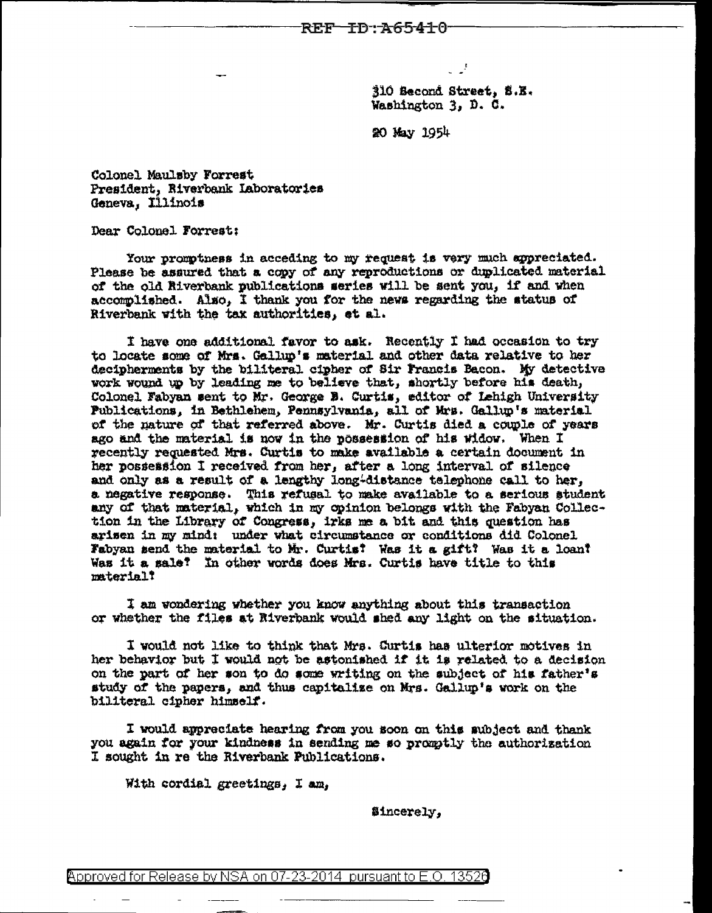310 Second Street, S.E. Washington 3, D. C.

20 May 1954

Colonel Maulsby Forrest President, Riverbank Laboratories Geneva, Illinois

Dear Colonel Forrest:

Your promptness in acceding to my request is very much sypreciated. Please be assured that a copy of any reproductions or duplicated material of the old Riverbank publications weries will be sent you, if and when accomplished. Also, I thank you for the news regarding the status of Riverbank with the tax authorities, et al.

I have one additional favor to ask. Recently I had occasion to try to locate some of Mrs. Gallup's material and other data relative to her decipherments by the biliteral cipher of Sir Francis Bacon. My detective work wound up by leading me to believe that, shortly before his death, Colonel Fabyan sent to Mr. George B. Curtis, editor of Lehigh University Publications, in Bethlehem, Pennsylvania, all of Mrs. Gallup's material of the nature of that referred above. Mr. Curtis died a couple of years ago and the material is now in the possession of his widow. When I recently requested Mrs. Curtis to make available a certain document in her possession I received from her, after a long interval of silence and only as a result of a lengthy long-distance telephone call to her, a negative response. This refusal to make available to a serious student any of that material, which in my opinion belongs with the Fabyan Collection in the Library of Congress, irks me a bit and this question has arisen in my mind: under what circumstance or conditions did Colonel Fabyan send the material to Mr. Curtist Was it a gift? Was it a loan? Was it a sale? In other words does Mrs. Curtis have title to this material?

I am wondering whether you know anything about this transaction or whether the files at Riverbank would shed any light on the situation.

I would not like to think that Mrs. Curtis has ulterior motives in her behavior but I would not be astonished if it is related to a decision on the part of her son to do some writing on the subject of his father's study of the papers, and thus capitalize on Mrs. Gallup's work on the biliteral cipher himself.

I would appreciate hearing from you soon on this subject and thank you again for your kindness in sending me so promptly the authorization I sought in re the Riverbank Publications.

With cordial greetings, I am,

Sincerely,

 $\beta$ pproved for Release by NSA on 07-23-2014 pursuant to E.O. 13526